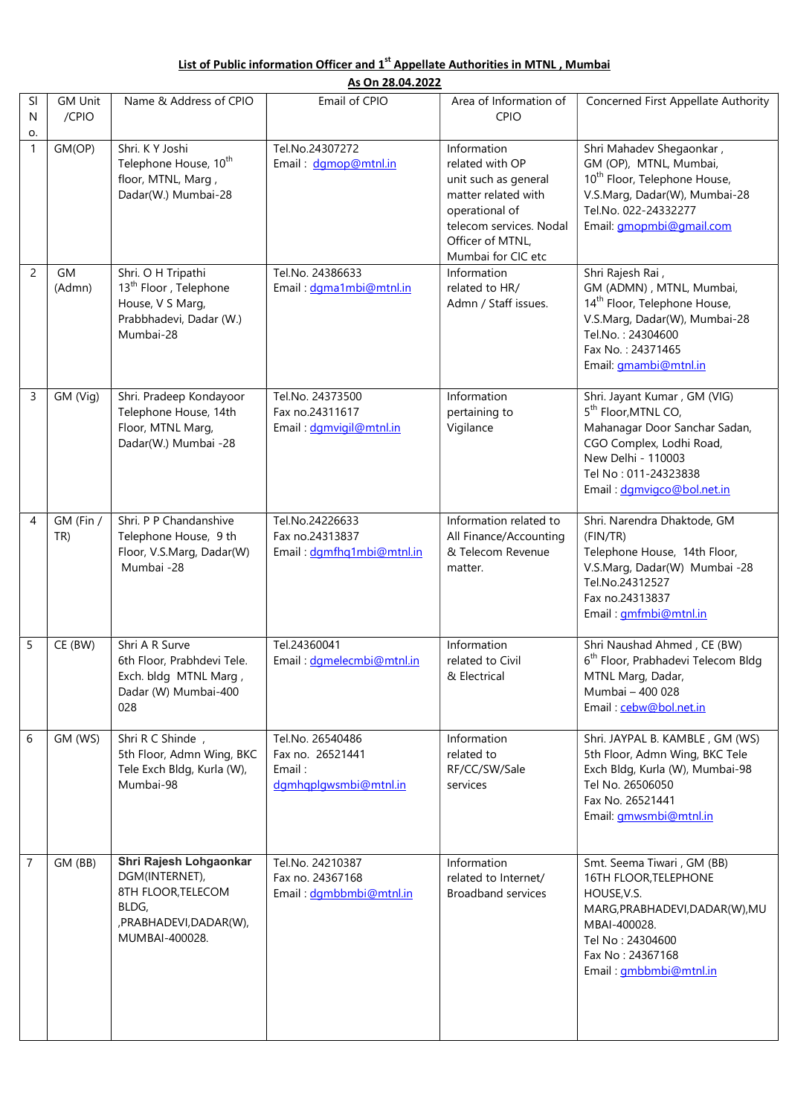## List of Public information Officer and 1<sup>st</sup> Appellate Authorities in MTNL, Mumbai

|                    | As On 28.04.2022        |                                                                                                                     |                                                                         |                                                                                                                                                                      |                                                                                                                                                                                                          |  |  |  |  |
|--------------------|-------------------------|---------------------------------------------------------------------------------------------------------------------|-------------------------------------------------------------------------|----------------------------------------------------------------------------------------------------------------------------------------------------------------------|----------------------------------------------------------------------------------------------------------------------------------------------------------------------------------------------------------|--|--|--|--|
| SI<br>$\mathsf{N}$ | <b>GM Unit</b><br>/CPIO | Name & Address of CPIO                                                                                              | Email of CPIO                                                           | Area of Information of<br>CPIO                                                                                                                                       | Concerned First Appellate Authority                                                                                                                                                                      |  |  |  |  |
| О.<br>$\mathbf{1}$ | GM(OP)                  | Shri, KY Joshi<br>Telephone House, 10 <sup>th</sup><br>floor, MTNL, Marg,<br>Dadar(W.) Mumbai-28                    | Tel.No.24307272<br>Email: dgmop@mtnl.in                                 | Information<br>related with OP<br>unit such as general<br>matter related with<br>operational of<br>telecom services. Nodal<br>Officer of MTNL,<br>Mumbai for CIC etc | Shri Mahadev Shegaonkar,<br>GM (OP), MTNL, Mumbai,<br>10 <sup>th</sup> Floor, Telephone House,<br>V.S.Marg, Dadar(W), Mumbai-28<br>Tel.No. 022-24332277<br>Email: <i>gmopmbi@gmail.com</i>               |  |  |  |  |
| 2                  | <b>GM</b><br>(Admn)     | Shri. O H Tripathi<br>13 <sup>th</sup> Floor, Telephone<br>House, V S Marg,<br>Prabbhadevi, Dadar (W.)<br>Mumbai-28 | Tel.No. 24386633<br>Email: dgma1mbi@mtnl.in                             | Information<br>related to HR/<br>Admn / Staff issues.                                                                                                                | Shri Rajesh Rai,<br>GM (ADMN), MTNL, Mumbai,<br>14 <sup>th</sup> Floor, Telephone House,<br>V.S.Marg, Dadar(W), Mumbai-28<br>Tel.No.: 24304600<br>Fax No.: 24371465<br>Email: gmambi@mtnl.in             |  |  |  |  |
| 3                  | GM (Vig)                | Shri. Pradeep Kondayoor<br>Telephone House, 14th<br>Floor, MTNL Marg,<br>Dadar(W.) Mumbai -28                       | Tel.No. 24373500<br>Fax no.24311617<br>Email: dgmvigil@mtnl.in          | Information<br>pertaining to<br>Vigilance                                                                                                                            | Shri. Jayant Kumar, GM (VIG)<br>5 <sup>th</sup> Floor, MTNL CO,<br>Mahanagar Door Sanchar Sadan,<br>CGO Complex, Lodhi Road,<br>New Delhi - 110003<br>Tel No: 011-24323838<br>Email: dgmvigco@bol.net.in |  |  |  |  |
| $\overline{4}$     | GM (Fin /<br>TR)        | Shri. P P Chandanshive<br>Telephone House, 9 th<br>Floor, V.S.Marg, Dadar(W)<br>Mumbai -28                          | Tel.No.24226633<br>Fax no.24313837<br>Email: dgmfhq1mbi@mtnl.in         | Information related to<br>All Finance/Accounting<br>& Telecom Revenue<br>matter.                                                                                     | Shri. Narendra Dhaktode, GM<br>(FIN/TR)<br>Telephone House, 14th Floor,<br>V.S.Marg, Dadar(W) Mumbai -28<br>Tel.No.24312527<br>Fax no.24313837<br>Email: gmfmbi@mtnl.in                                  |  |  |  |  |
| 5                  | CE (BW)                 | Shri A R Surve<br>6th Floor, Prabhdevi Tele.<br>Exch. bldg MTNL Marg,<br>Dadar (W) Mumbai-400<br>028                | Tel.24360041<br>Email: dgmelecmbi@mtnl.in                               | Information<br>related to Civil<br>& Electrical                                                                                                                      | Shri Naushad Ahmed, CE (BW)<br>6 <sup>th</sup> Floor, Prabhadevi Telecom Bldg<br>MTNL Marg, Dadar,<br>Mumbai - 400 028<br>Email: cebw@bol.net.in                                                         |  |  |  |  |
| 6                  | GM (WS)                 | Shri R C Shinde,<br>5th Floor, Admn Wing, BKC<br>Tele Exch Bldg, Kurla (W),<br>Mumbai-98                            | Tel.No. 26540486<br>Fax no. 26521441<br>Email:<br>dgmhqplqwsmbi@mtnl.in | Information<br>related to<br>RF/CC/SW/Sale<br>services                                                                                                               | Shri. JAYPAL B. KAMBLE, GM (WS)<br>5th Floor, Admn Wing, BKC Tele<br>Exch Bldg, Kurla (W), Mumbai-98<br>Tel No. 26506050<br>Fax No. 26521441<br>Email: gmwsmbi@mtnl.in                                   |  |  |  |  |
| $\overline{7}$     | GM (BB)                 | Shri Rajesh Lohgaonkar<br>DGM(INTERNET),<br>8TH FLOOR, TELECOM<br>BLDG,<br>,PRABHADEVI,DADAR(W),<br>MUMBAI-400028.  | Tel.No. 24210387<br>Fax no. 24367168<br>Email: dgmbbmbi@mtnl.in         | Information<br>related to Internet/<br><b>Broadband services</b>                                                                                                     | Smt. Seema Tiwari, GM (BB)<br>16TH FLOOR, TELEPHONE<br>HOUSE, V.S.<br>MARG, PRABHADEVI, DADAR(W), MU<br>MBAI-400028.<br>Tel No: 24304600<br>Fax No: 24367168<br>Email: gmbbmbi@mtnl.in                   |  |  |  |  |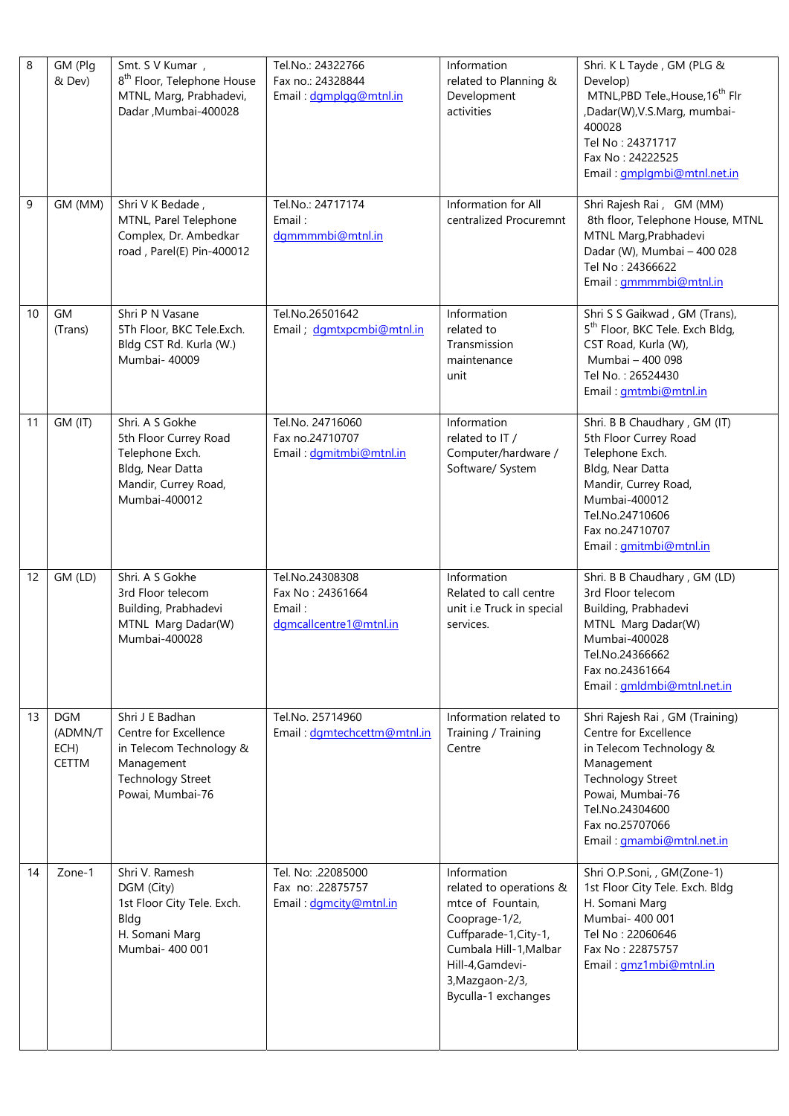| $\,8\,$ | GM (Plg<br>& Dev)                             | Smt. S V Kumar,<br>8 <sup>th</sup> Floor, Telephone House<br>MTNL, Marg, Prabhadevi,<br>Dadar, Mumbai-400028                      | Tel.No.: 24322766<br>Fax no.: 24328844<br>Email: dgmplgg@mtnl.in        | Information<br>related to Planning &<br>Development<br>activities                                                                                                                            | Shri. K L Tayde, GM (PLG &<br>Develop)<br>MTNL, PBD Tele., House, 16 <sup>th</sup> Flr<br>,Dadar(W),V.S.Marg, mumbai-<br>400028<br>Tel No: 24371717<br>Fax No: 24222525<br>Email: <i>gmplgmbi@mtnl.net.in</i>       |
|---------|-----------------------------------------------|-----------------------------------------------------------------------------------------------------------------------------------|-------------------------------------------------------------------------|----------------------------------------------------------------------------------------------------------------------------------------------------------------------------------------------|---------------------------------------------------------------------------------------------------------------------------------------------------------------------------------------------------------------------|
| 9       | GM (MM)                                       | Shri V K Bedade,<br>MTNL, Parel Telephone<br>Complex, Dr. Ambedkar<br>road, Parel(E) Pin-400012                                   | Tel.No.: 24717174<br>Email:<br>dgmmmmbi@mtnl.in                         | Information for All<br>centralized Procuremnt                                                                                                                                                | Shri Rajesh Rai, GM (MM)<br>8th floor, Telephone House, MTNL<br>MTNL Marg, Prabhadevi<br>Dadar (W), Mumbai - 400 028<br>Tel No: 24366622<br>Email: gmmmmbi@mtnl.in                                                  |
| 10      | GM<br>(Trans)                                 | Shri P N Vasane<br>5Th Floor, BKC Tele.Exch.<br>Bldg CST Rd. Kurla (W.)<br>Mumbai-40009                                           | Tel.No.26501642<br>Email; dgmtxpcmbi@mtnl.in                            | Information<br>related to<br>Transmission<br>maintenance<br>unit                                                                                                                             | Shri S S Gaikwad, GM (Trans),<br>5 <sup>th</sup> Floor, BKC Tele. Exch Bldg,<br>CST Road, Kurla (W),<br>Mumbai - 400 098<br>Tel No.: 26524430<br>Email: <i>gmtmbi@mtnl.in</i>                                       |
| 11      | GM (IT)                                       | Shri. A S Gokhe<br>5th Floor Currey Road<br>Telephone Exch.<br>Bldg, Near Datta<br>Mandir, Currey Road,<br>Mumbai-400012          | Tel.No. 24716060<br>Fax no.24710707<br>Email: dgmitmbi@mtnl.in          | Information<br>related to IT /<br>Computer/hardware /<br>Software/ System                                                                                                                    | Shri. B B Chaudhary, GM (IT)<br>5th Floor Currey Road<br>Telephone Exch.<br>Bldg, Near Datta<br>Mandir, Currey Road,<br>Mumbai-400012<br>Tel.No.24710606<br>Fax no.24710707<br>Email: gmitmbi@mtnl.in               |
| 12      | GM (LD)                                       | Shri. A S Gokhe<br>3rd Floor telecom<br>Building, Prabhadevi<br>MTNL Marg Dadar(W)<br>Mumbai-400028                               | Tel.No.24308308<br>Fax No: 24361664<br>Email:<br>dgmcallcentre1@mtnl.in | Information<br>Related to call centre<br>unit i.e Truck in special<br>services.                                                                                                              | Shri. B B Chaudhary, GM (LD)<br>3rd Floor telecom<br>Building, Prabhadevi<br>MTNL Marg Dadar(W)<br>Mumbai-400028<br>Tel.No.24366662<br>Fax no.24361664<br>Email: gmldmbi@mtnl.net.in                                |
| 13      | <b>DGM</b><br>(ADMN/T<br>ECH)<br><b>CETTM</b> | Shri J E Badhan<br>Centre for Excellence<br>in Telecom Technology &<br>Management<br><b>Technology Street</b><br>Powai, Mumbai-76 | Tel.No. 25714960<br>Email: dgmtechcettm@mtnl.in                         | Information related to<br>Training / Training<br>Centre                                                                                                                                      | Shri Rajesh Rai, GM (Training)<br>Centre for Excellence<br>in Telecom Technology &<br>Management<br><b>Technology Street</b><br>Powai, Mumbai-76<br>Tel.No.24304600<br>Fax no.25707066<br>Email: gmambi@mtnl.net.in |
| 14      | Zone-1                                        | Shri V. Ramesh<br>DGM (City)<br>1st Floor City Tele. Exch.<br>Bldg<br>H. Somani Marg<br>Mumbai- 400 001                           | Tel. No: .22085000<br>Fax no: .22875757<br>Email: dgmcity@mtnl.in       | Information<br>related to operations &<br>mtce of Fountain,<br>Cooprage-1/2,<br>Cuffparade-1, City-1,<br>Cumbala Hill-1, Malbar<br>Hill-4,Gamdevi-<br>3, Mazgaon-2/3,<br>Byculla-1 exchanges | Shri O.P.Soni, , GM(Zone-1)<br>1st Floor City Tele. Exch. Bldg<br>H. Somani Marg<br>Mumbai- 400 001<br>Tel No: 22060646<br>Fax No: 22875757<br>Email: gmz1mbi@mtnl.in                                               |